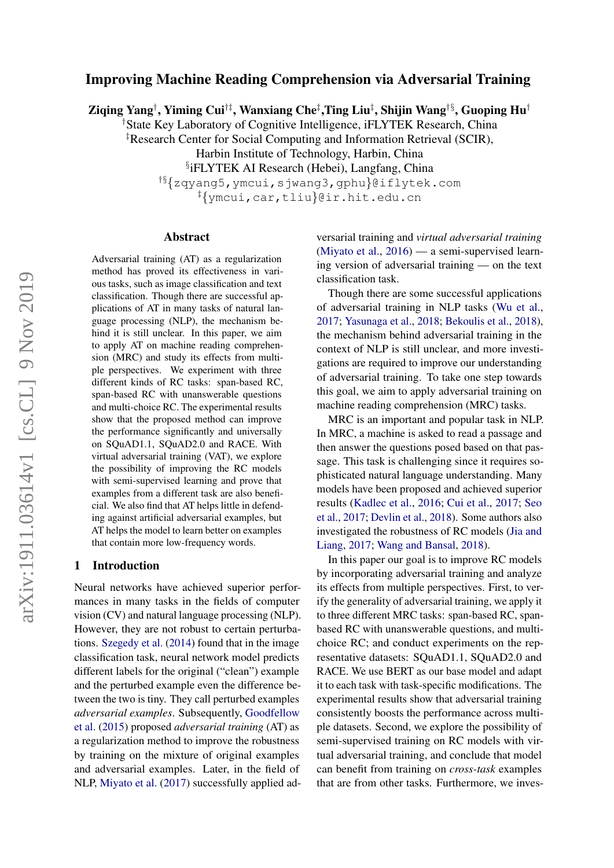# Improving Machine Reading Comprehension via Adversarial Training

Ziqing Yang†, Yiming Cui†‡, Wanxiang Che‡,Ting Liu‡, Shijin Wang†§, Guoping Hu†

†State Key Laboratory of Cognitive Intelligence, iFLYTEK Research, China

‡Research Center for Social Computing and Information Retrieval (SCIR),

Harbin Institute of Technology, Harbin, China

§ iFLYTEK AI Research (Hebei), Langfang, China

†§{zqyang5,ymcui,sjwang3,gphu}@iflytek.com ‡{ymcui,car,tliu}@ir.hit.edu.cn

#### Abstract

Adversarial training (AT) as a regularization method has proved its effectiveness in various tasks, such as image classification and text classification. Though there are successful applications of AT in many tasks of natural language processing (NLP), the mechanism behind it is still unclear. In this paper, we aim to apply AT on machine reading comprehension (MRC) and study its effects from multiple perspectives. We experiment with three different kinds of RC tasks: span-based RC, span-based RC with unanswerable questions and multi-choice RC. The experimental results show that the proposed method can improve the performance significantly and universally on SQuAD1.1, SQuAD2.0 and RACE. With virtual adversarial training (VAT), we explore the possibility of improving the RC models with semi-supervised learning and prove that examples from a different task are also beneficial. We also find that AT helps little in defending against artificial adversarial examples, but AT helps the model to learn better on examples that contain more low-frequency words.

## 1 Introduction

Neural networks have achieved superior performances in many tasks in the fields of computer vision (CV) and natural language processing (NLP). However, they are not robust to certain perturbations. [Szegedy et al.](#page-9-0) [\(2014\)](#page-9-0) found that in the image classification task, neural network model predicts different labels for the original ("clean") example and the perturbed example even the difference between the two is tiny. They call perturbed examples *adversarial examples*. Subsequently, [Goodfellow](#page-8-0) [et al.](#page-8-0) [\(2015\)](#page-8-0) proposed *adversarial training* (AT) as a regularization method to improve the robustness by training on the mixture of original examples and adversarial examples. Later, in the field of NLP, [Miyato et al.](#page-8-1) [\(2017\)](#page-8-1) successfully applied adversarial training and *virtual adversarial training* [\(Miyato et al.,](#page-8-2) [2016\)](#page-8-2) — a semi-supervised learning version of adversarial training — on the text classification task.

Though there are some successful applications of adversarial training in NLP tasks [\(Wu et al.,](#page-9-1) [2017;](#page-9-1) [Yasunaga et al.,](#page-9-2) [2018;](#page-9-2) [Bekoulis et al.,](#page-8-3) [2018\)](#page-8-3), the mechanism behind adversarial training in the context of NLP is still unclear, and more investigations are required to improve our understanding of adversarial training. To take one step towards this goal, we aim to apply adversarial training on machine reading comprehension (MRC) tasks.

MRC is an important and popular task in NLP. In MRC, a machine is asked to read a passage and then answer the questions posed based on that passage. This task is challenging since it requires sophisticated natural language understanding. Many models have been proposed and achieved superior results [\(Kadlec et al.,](#page-8-4) [2016;](#page-8-4) [Cui et al.,](#page-8-5) [2017;](#page-8-5) [Seo](#page-9-3) [et al.,](#page-9-3) [2017;](#page-9-3) [Devlin et al.,](#page-8-6) [2018\)](#page-8-6). Some authors also investigated the robustness of RC models [\(Jia and](#page-8-7) [Liang,](#page-8-7) [2017;](#page-8-7) [Wang and Bansal,](#page-9-4) [2018\)](#page-9-4).

In this paper our goal is to improve RC models by incorporating adversarial training and analyze its effects from multiple perspectives. First, to verify the generality of adversarial training, we apply it to three different MRC tasks: span-based RC, spanbased RC with unanswerable questions, and multichoice RC; and conduct experiments on the representative datasets: SQuAD1.1, SQuAD2.0 and RACE. We use BERT as our base model and adapt it to each task with task-specific modifications. The experimental results show that adversarial training consistently boosts the performance across multiple datasets. Second, we explore the possibility of semi-supervised training on RC models with virtual adversarial training, and conclude that model can benefit from training on *cross-task* examples that are from other tasks. Furthermore, we inves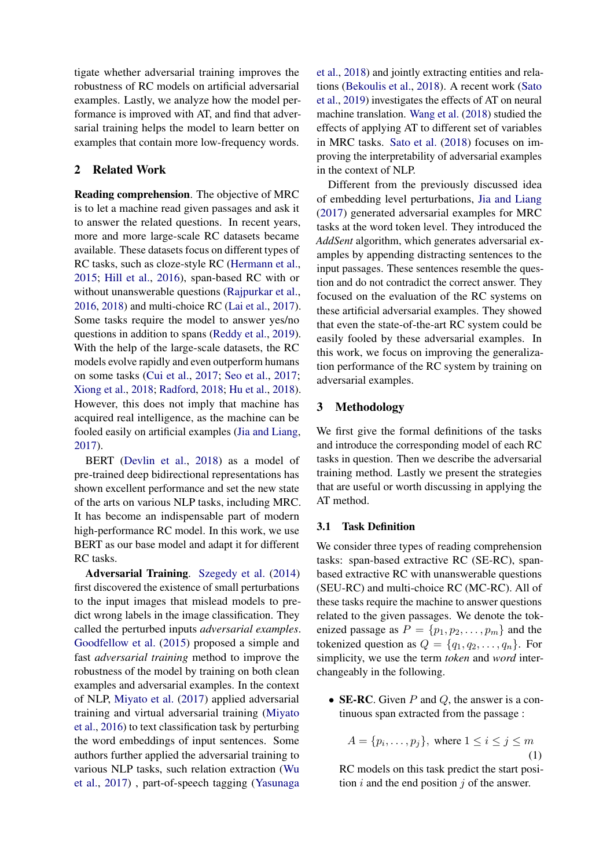tigate whether adversarial training improves the robustness of RC models on artificial adversarial examples. Lastly, we analyze how the model performance is improved with AT, and find that adversarial training helps the model to learn better on examples that contain more low-frequency words.

## 2 Related Work

Reading comprehension. The objective of MRC is to let a machine read given passages and ask it to answer the related questions. In recent years, more and more large-scale RC datasets became available. These datasets focus on different types of RC tasks, such as cloze-style RC [\(Hermann et al.,](#page-8-8) [2015;](#page-8-8) [Hill et al.,](#page-8-9) [2016\)](#page-8-9), span-based RC with or without unanswerable questions [\(Rajpurkar et al.,](#page-9-5) [2016,](#page-9-5) [2018\)](#page-8-10) and multi-choice RC [\(Lai et al.,](#page-8-11) [2017\)](#page-8-11). Some tasks require the model to answer yes/no questions in addition to spans [\(Reddy et al.,](#page-9-6) [2019\)](#page-9-6). With the help of the large-scale datasets, the RC models evolve rapidly and even outperform humans on some tasks [\(Cui et al.,](#page-8-5) [2017;](#page-8-5) [Seo et al.,](#page-9-3) [2017;](#page-9-3) [Xiong et al.,](#page-9-7) [2018;](#page-9-7) [Radford,](#page-8-12) [2018;](#page-8-12) [Hu et al.,](#page-8-13) [2018\)](#page-8-13). However, this does not imply that machine has acquired real intelligence, as the machine can be fooled easily on artificial examples [\(Jia and Liang,](#page-8-7) [2017\)](#page-8-7).

BERT [\(Devlin et al.,](#page-8-6) [2018\)](#page-8-6) as a model of pre-trained deep bidirectional representations has shown excellent performance and set the new state of the arts on various NLP tasks, including MRC. It has become an indispensable part of modern high-performance RC model. In this work, we use BERT as our base model and adapt it for different RC tasks.

Adversarial Training. [Szegedy et al.](#page-9-0) [\(2014\)](#page-9-0) first discovered the existence of small perturbations to the input images that mislead models to predict wrong labels in the image classification. They called the perturbed inputs *adversarial examples*. [Goodfellow et al.](#page-8-0) [\(2015\)](#page-8-0) proposed a simple and fast *adversarial training* method to improve the robustness of the model by training on both clean examples and adversarial examples. In the context of NLP, [Miyato et al.](#page-8-1) [\(2017\)](#page-8-1) applied adversarial training and virtual adversarial training [\(Miyato](#page-8-2) [et al.,](#page-8-2) [2016\)](#page-8-2) to text classification task by perturbing the word embeddings of input sentences. Some authors further applied the adversarial training to various NLP tasks, such relation extraction [\(Wu](#page-9-1) [et al.,](#page-9-1) [2017\)](#page-9-1) , part-of-speech tagging [\(Yasunaga](#page-9-2)

[et al.,](#page-9-2) [2018\)](#page-9-2) and jointly extracting entities and relations [\(Bekoulis et al.,](#page-8-3) [2018\)](#page-8-3). A recent work [\(Sato](#page-9-8) [et al.,](#page-9-8) [2019\)](#page-9-8) investigates the effects of AT on neural machine translation. [Wang et al.](#page-9-9) [\(2018\)](#page-9-9) studied the effects of applying AT to different set of variables in MRC tasks. [Sato et al.](#page-9-10) [\(2018\)](#page-9-10) focuses on improving the interpretability of adversarial examples in the context of NLP.

Different from the previously discussed idea of embedding level perturbations, [Jia and Liang](#page-8-7) [\(2017\)](#page-8-7) generated adversarial examples for MRC tasks at the word token level. They introduced the *AddSent* algorithm, which generates adversarial examples by appending distracting sentences to the input passages. These sentences resemble the question and do not contradict the correct answer. They focused on the evaluation of the RC systems on these artificial adversarial examples. They showed that even the state-of-the-art RC system could be easily fooled by these adversarial examples. In this work, we focus on improving the generalization performance of the RC system by training on adversarial examples.

## 3 Methodology

We first give the formal definitions of the tasks and introduce the corresponding model of each RC tasks in question. Then we describe the adversarial training method. Lastly we present the strategies that are useful or worth discussing in applying the AT method.

#### 3.1 Task Definition

We consider three types of reading comprehension tasks: span-based extractive RC (SE-RC), spanbased extractive RC with unanswerable questions (SEU-RC) and multi-choice RC (MC-RC). All of these tasks require the machine to answer questions related to the given passages. We denote the tokenized passage as  $P = \{p_1, p_2, \ldots, p_m\}$  and the tokenized question as  $Q = \{q_1, q_2, \ldots, q_n\}$ . For simplicity, we use the term *token* and *word* interchangeably in the following.

• SE-RC. Given  $P$  and  $Q$ , the answer is a continuous span extracted from the passage :

<span id="page-1-0"></span>
$$
A = \{p_i, \dots, p_j\}, \text{ where } 1 \le i \le j \le m
$$
\n<sup>(1)</sup>

RC models on this task predict the start position  $i$  and the end position  $j$  of the answer.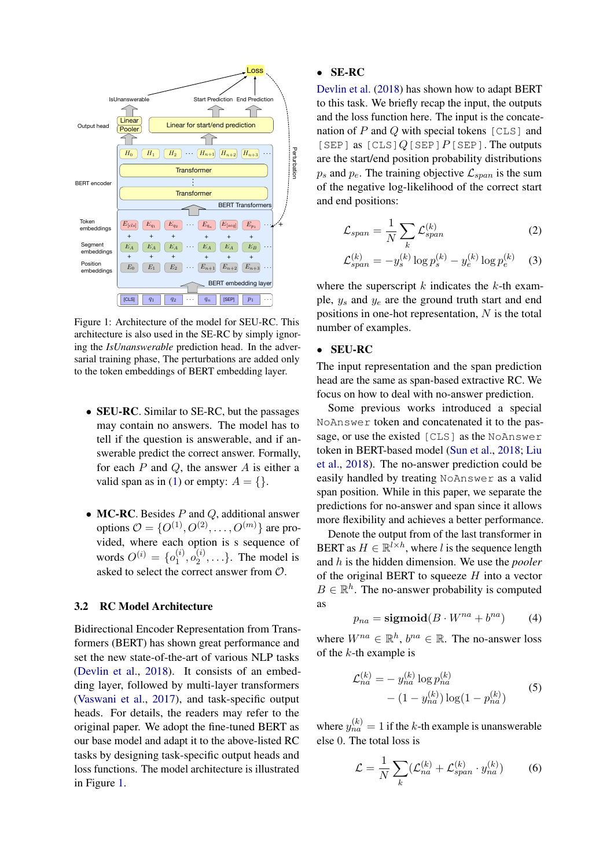<span id="page-2-0"></span>

Figure 1: Architecture of the model for SEU-RC. This architecture is also used in the SE-RC by simply ignoring the *IsUnanswerable* prediction head. In the adversarial training phase, The perturbations are added only to the token embeddings of BERT embedding layer.

- **SEU-RC**. Similar to SE-RC, but the passages may contain no answers. The model has to tell if the question is answerable, and if answerable predict the correct answer. Formally, for each  $P$  and  $Q$ , the answer  $A$  is either a valid span as in [\(1\)](#page-1-0) or empty:  $A = \{\}.$
- MC-RC. Besides  $P$  and  $Q$ , additional answer options  $\mathcal{O} = \{O^{(1)}, O^{(2)}, \dots, O^{(m)}\}$  are provided, where each option is s sequence of words  $O^{(i)} = \{o_1^{(i)}\}$  $\stackrel{(i)}{1},o_2^{(i)}$  $\binom{1}{2}, \ldots$ . The model is asked to select the correct answer from O.

## 3.2 RC Model Architecture

Bidirectional Encoder Representation from Transformers (BERT) has shown great performance and set the new state-of-the-art of various NLP tasks [\(Devlin et al.,](#page-8-6) [2018\)](#page-8-6). It consists of an embedding layer, followed by multi-layer transformers [\(Vaswani et al.,](#page-9-11) [2017\)](#page-9-11), and task-specific output heads. For details, the readers may refer to the original paper. We adopt the fine-tuned BERT as our base model and adapt it to the above-listed RC tasks by designing task-specific output heads and loss functions. The model architecture is illustrated in Figure [1.](#page-2-0)

## • SE-RC

[Devlin et al.](#page-8-6) [\(2018\)](#page-8-6) has shown how to adapt BERT to this task. We briefly recap the input, the outputs and the loss function here. The input is the concatenation of  $P$  and  $Q$  with special tokens [CLS] and [SEP] as  $[CLS] Q[SEP] P[SEP]$ . The outputs are the start/end position probability distributions  $p_s$  and  $p_e$ . The training objective  $\mathcal{L}_{span}$  is the sum of the negative log-likelihood of the correct start and end positions:

$$
\mathcal{L}_{span} = \frac{1}{N} \sum_{k} \mathcal{L}_{span}^{(k)} \tag{2}
$$

$$
\mathcal{L}_{span}^{(k)} = -y_s^{(k)} \log p_s^{(k)} - y_e^{(k)} \log p_e^{(k)} \quad (3)
$$

where the superscript  $k$  indicates the  $k$ -th example,  $y_s$  and  $y_e$  are the ground truth start and end positions in one-hot representation,  $N$  is the total number of examples.

#### • SEU-RC

The input representation and the span prediction head are the same as span-based extractive RC. We focus on how to deal with no-answer prediction.

Some previous works introduced a special NoAnswer token and concatenated it to the passage, or use the existed [CLS] as the NoAnswer token in BERT-based model [\(Sun et al.,](#page-9-12) [2018;](#page-9-12) [Liu](#page-8-14) [et al.,](#page-8-14) [2018\)](#page-8-14). The no-answer prediction could be easily handled by treating NoAnswer as a valid span position. While in this paper, we separate the predictions for no-answer and span since it allows more flexibility and achieves a better performance.

Denote the output from of the last transformer in BERT as  $H \in \mathbb{R}^{l \times h}$ , where l is the sequence length and h is the hidden dimension. We use the *pooler* of the original BERT to squeeze  $H$  into a vector  $B \in \mathbb{R}^h$ . The no-answer probability is computed as

$$
p_{na} = \mathbf{sigmoid}(B \cdot W^{na} + b^{na}) \tag{4}
$$

where  $W^{na} \in \mathbb{R}^h$ ,  $b^{na} \in \mathbb{R}$ . The no-answer loss of the  $k$ -th example is

$$
\mathcal{L}_{na}^{(k)} = -y_{na}^{(k)} \log p_{na}^{(k)}
$$
  
-(1 - y\_{na}^{(k)}) \log(1 - p\_{na}^{(k)}) (5)

where  $y_{na}^{(k)} = 1$  if the k-th example is unanswerable else 0. The total loss is

$$
\mathcal{L} = \frac{1}{N} \sum_{k} (\mathcal{L}_{na}^{(k)} + \mathcal{L}_{span}^{(k)} \cdot y_{na}^{(k)}) \tag{6}
$$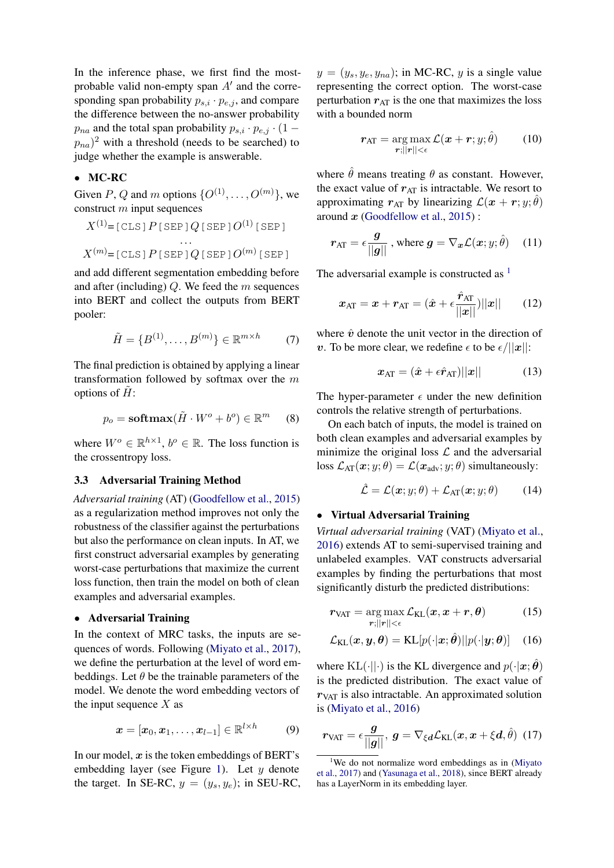In the inference phase, we first find the mostprobable valid non-empty span  $A'$  and the corresponding span probability  $p_{s,i} \cdot p_{e,j}$ , and compare the difference between the no-answer probability  $p_{na}$  and the total span probability  $p_{s,i} \cdot p_{e,j} \cdot (1 (p_{na})^2$  with a threshold (needs to be searched) to judge whether the example is answerable.

#### • MC-RC

Given P, Q and m options  $\{O^{(1)}, \ldots, O^{(m)}\}$ , we construct  $m$  input sequences

$$
X^{(1)} = [\text{CLS}] P [\text{SEP}] Q [\text{SEP}] O^{(1)} [\text{SEP}]
$$
  
...  

$$
X^{(m)} = [\text{CLS}] P [\text{SEP}] Q [\text{SEP}] O^{(m)} [\text{SEP}]
$$

and add different segmentation embedding before and after (including)  $Q$ . We feed the  $m$  sequences into BERT and collect the outputs from BERT pooler:

$$
\tilde{H} = \{B^{(1)}, \dots, B^{(m)}\} \in \mathbb{R}^{m \times h} \tag{7}
$$

The final prediction is obtained by applying a linear transformation followed by softmax over the m options of  $H$ :

$$
p_o = \mathbf{softmax}(\tilde{H} \cdot W^o + b^o) \in \mathbb{R}^m \qquad (8)
$$

where  $W^o \in \mathbb{R}^{h \times 1}$ ,  $b^o \in \mathbb{R}$ . The loss function is the crossentropy loss.

### 3.3 Adversarial Training Method

*Adversarial training* (AT) [\(Goodfellow et al.,](#page-8-0) [2015\)](#page-8-0) as a regularization method improves not only the robustness of the classifier against the perturbations but also the performance on clean inputs. In AT, we first construct adversarial examples by generating worst-case perturbations that maximize the current loss function, then train the model on both of clean examples and adversarial examples.

### • Adversarial Training

In the context of MRC tasks, the inputs are sequences of words. Following [\(Miyato et al.,](#page-8-1) [2017\)](#page-8-1), we define the perturbation at the level of word embeddings. Let  $\theta$  be the trainable parameters of the model. We denote the word embedding vectors of the input sequence  $X$  as

$$
\boldsymbol{x} = [\boldsymbol{x}_0, \boldsymbol{x}_1, \dots, \boldsymbol{x}_{l-1}] \in \mathbb{R}^{l \times h} \tag{9}
$$

In our model,  $x$  is the token embeddings of BERT's embedding layer (see Figure [1\)](#page-2-0). Let  $y$  denote the target. In SE-RC,  $y = (y_s, y_e)$ ; in SEU-RC,  $y = (y_s, y_e, y_{na})$ ; in MC-RC, y is a single value representing the correct option. The worst-case perturbation  $r_{AT}$  is the one that maximizes the loss with a bounded norm

$$
\boldsymbol{r}_{\text{AT}} = \underset{\boldsymbol{r};||\boldsymbol{r}|| < \epsilon}{\arg\max} \mathcal{L}(\boldsymbol{x} + \boldsymbol{r}; y; \hat{\theta}) \qquad (10)
$$

where  $\hat{\theta}$  means treating  $\theta$  as constant. However, the exact value of  $r_{AT}$  is intractable. We resort to approximating  $r_{AT}$  by linearizing  $\mathcal{L}(x+r; y; \hat{\theta})$ around  $x$  [\(Goodfellow et al.,](#page-8-0) [2015\)](#page-8-0):

$$
r_{\text{AT}} = \epsilon \frac{\boldsymbol{g}}{||\boldsymbol{g}||}, \text{ where } \boldsymbol{g} = \nabla_{\boldsymbol{x}} \mathcal{L}(\boldsymbol{x}; \boldsymbol{y}; \hat{\theta}) \quad (11)
$$

The adversarial example is constructed as  $<sup>1</sup>$  $<sup>1</sup>$  $<sup>1</sup>$ </sup>

$$
\boldsymbol{x}_{\text{AT}} = \boldsymbol{x} + \boldsymbol{r}_{\text{AT}} = (\hat{\boldsymbol{x}} + \epsilon \frac{\hat{\boldsymbol{r}}_{\text{AT}}}{||\boldsymbol{x}||})||\boldsymbol{x}|| \qquad (12)
$$

where  $\hat{v}$  denote the unit vector in the direction of v. To be more clear, we redefine  $\epsilon$  to be  $\epsilon/||x||$ :

$$
\boldsymbol{x}_{\text{AT}} = (\hat{\boldsymbol{x}} + \epsilon \hat{\boldsymbol{r}}_{\text{AT}})||\boldsymbol{x}|| \tag{13}
$$

The hyper-parameter  $\epsilon$  under the new definition controls the relative strength of perturbations.

On each batch of inputs, the model is trained on both clean examples and adversarial examples by minimize the original loss  $\mathcal L$  and the adversarial loss  $\mathcal{L}_{AT}(\boldsymbol{x}; y; \theta) = \mathcal{L}(\boldsymbol{x}_{adv}; y; \theta)$  simultaneously:

$$
\hat{\mathcal{L}} = \mathcal{L}(\mathbf{x}; y; \theta) + \mathcal{L}_{\text{AT}}(\mathbf{x}; y; \theta)
$$
 (14)

## • Virtual Adversarial Training

*Virtual adversarial training* (VAT) [\(Miyato et al.,](#page-8-2) [2016\)](#page-8-2) extends AT to semi-supervised training and unlabeled examples. VAT constructs adversarial examples by finding the perturbations that most significantly disturb the predicted distributions:

$$
r_{\text{VAT}} = \underset{r;||r|| < \epsilon}{\arg \max} \mathcal{L}_{\text{KL}}(x, x + r, \theta) \tag{15}
$$

$$
\mathcal{L}_{\text{KL}}(\boldsymbol{x}, \boldsymbol{y}, \boldsymbol{\theta}) = \text{KL}[p(\cdot | \boldsymbol{x}; \hat{\boldsymbol{\theta}}) || p(\cdot | \boldsymbol{y}; \boldsymbol{\theta})] \quad (16)
$$

where  $KL(\cdot||\cdot)$  is the KL divergence and  $p(\cdot|\mathbf{x}; \theta)$ is the predicted distribution. The exact value of  $r_{\text{VAT}}$  is also intractable. An approximated solution is [\(Miyato et al.,](#page-8-2) [2016\)](#page-8-2)

$$
r_{\text{VAT}} = \epsilon \frac{g}{\vert\vert g \vert\vert}, \ g = \nabla_{\xi d} \mathcal{L}_{\text{KL}}(\boldsymbol{x}, \boldsymbol{x} + \xi \boldsymbol{d}, \hat{\theta}) \tag{17}
$$

<span id="page-3-0"></span><sup>&</sup>lt;sup>1</sup>We do not normalize word embeddings as in [\(Miyato](#page-8-1)) [et al.,](#page-8-1) [2017\)](#page-8-1) and [\(Yasunaga et al.,](#page-9-2) [2018\)](#page-9-2), since BERT already has a LayerNorm in its embedding layer.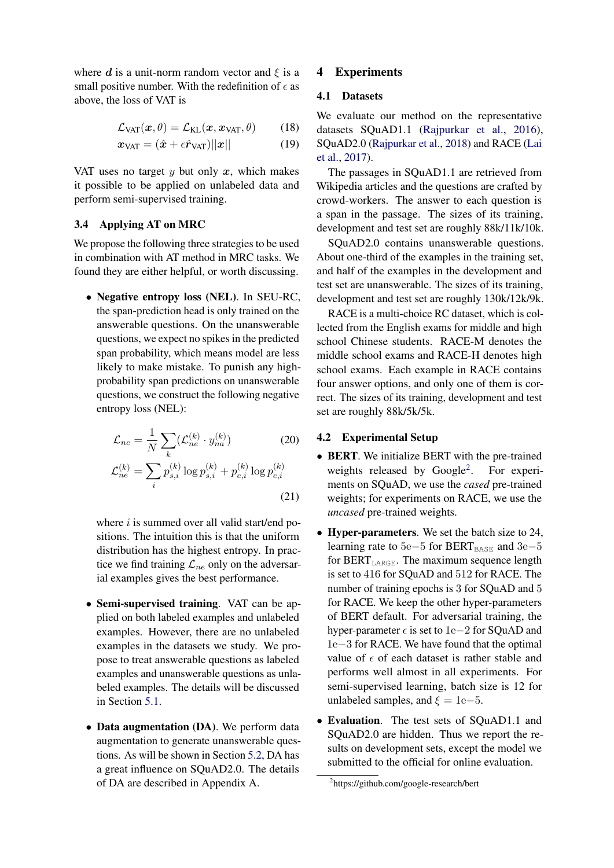where d is a unit-norm random vector and  $\xi$  is a small positive number. With the redefinition of  $\epsilon$  as above, the loss of VAT is

$$
\mathcal{L}_{\text{VAT}}(\boldsymbol{x}, \theta) = \mathcal{L}_{\text{KL}}(\boldsymbol{x}, \boldsymbol{x}_{\text{VAT}}, \theta) \qquad (18)
$$

$$
\boldsymbol{x}_{\text{VAT}} = (\hat{\boldsymbol{x}} + \epsilon \hat{\boldsymbol{r}}_{\text{VAT}})||\boldsymbol{x}|| \tag{19}
$$

VAT uses no target  $y$  but only  $x$ , which makes it possible to be applied on unlabeled data and perform semi-supervised training.

## 3.4 Applying AT on MRC

We propose the following three strategies to be used in combination with AT method in MRC tasks. We found they are either helpful, or worth discussing.

• Negative entropy loss (NEL). In SEU-RC, the span-prediction head is only trained on the answerable questions. On the unanswerable questions, we expect no spikes in the predicted span probability, which means model are less likely to make mistake. To punish any highprobability span predictions on unanswerable questions, we construct the following negative entropy loss (NEL):

$$
\mathcal{L}_{ne} = \frac{1}{N} \sum_{k} (\mathcal{L}_{ne}^{(k)} \cdot y_{na}^{(k)})
$$
(20)  

$$
\mathcal{L}_{ne}^{(k)} = \sum_{i} p_{s,i}^{(k)} \log p_{s,i}^{(k)} + p_{e,i}^{(k)} \log p_{e,i}^{(k)}
$$
(21)

where  $i$  is summed over all valid start/end positions. The intuition this is that the uniform distribution has the highest entropy. In practice we find training  $\mathcal{L}_{ne}$  only on the adversarial examples gives the best performance.

- Semi-supervised training. VAT can be applied on both labeled examples and unlabeled examples. However, there are no unlabeled examples in the datasets we study. We propose to treat answerable questions as labeled examples and unanswerable questions as unlabeled examples. The details will be discussed in Section [5.1.](#page-5-0)
- Data augmentation (DA). We perform data augmentation to generate unanswerable questions. As will be shown in Section [5.2,](#page-6-0) DA has a great influence on SQuAD2.0. The details of DA are described in Appendix A.

## 4 Experiments

## 4.1 Datasets

We evaluate our method on the representative datasets SQuAD1.1 [\(Rajpurkar et al.,](#page-9-5) [2016\)](#page-9-5), SQuAD2.0 [\(Rajpurkar et al.,](#page-8-10) [2018\)](#page-8-10) and RACE [\(Lai](#page-8-11) [et al.,](#page-8-11) [2017\)](#page-8-11).

The passages in SQuAD1.1 are retrieved from Wikipedia articles and the questions are crafted by crowd-workers. The answer to each question is a span in the passage. The sizes of its training, development and test set are roughly 88k/11k/10k.

SQuAD2.0 contains unanswerable questions. About one-third of the examples in the training set, and half of the examples in the development and test set are unanswerable. The sizes of its training, development and test set are roughly 130k/12k/9k.

RACE is a multi-choice RC dataset, which is collected from the English exams for middle and high school Chinese students. RACE-M denotes the middle school exams and RACE-H denotes high school exams. Each example in RACE contains four answer options, and only one of them is correct. The sizes of its training, development and test set are roughly 88k/5k/5k.

## 4.2 Experimental Setup

- BERT. We initialize BERT with the pre-trained weights released by Google<sup>[2](#page-4-0)</sup>. . For experiments on SQuAD, we use the *cased* pre-trained weights; for experiments on RACE, we use the *uncased* pre-trained weights.
- Hyper-parameters. We set the batch size to 24, learning rate to  $5e-5$  for BERT<sub>BASE</sub> and  $3e-5$ for BERT<sub>LARGE</sub>. The maximum sequence length is set to 416 for SQuAD and 512 for RACE. The number of training epochs is 3 for SQuAD and 5 for RACE. We keep the other hyper-parameters of BERT default. For adversarial training, the hyper-parameter  $\epsilon$  is set to 1e−2 for SQuAD and 1e−3 for RACE. We have found that the optimal value of  $\epsilon$  of each dataset is rather stable and performs well almost in all experiments. For semi-supervised learning, batch size is 12 for unlabeled samples, and  $\xi = 1e-5$ .
- Evaluation. The test sets of SQuAD1.1 and SQuAD2.0 are hidden. Thus we report the results on development sets, except the model we submitted to the official for online evaluation.

<span id="page-4-0"></span><sup>2</sup> https://github.com/google-research/bert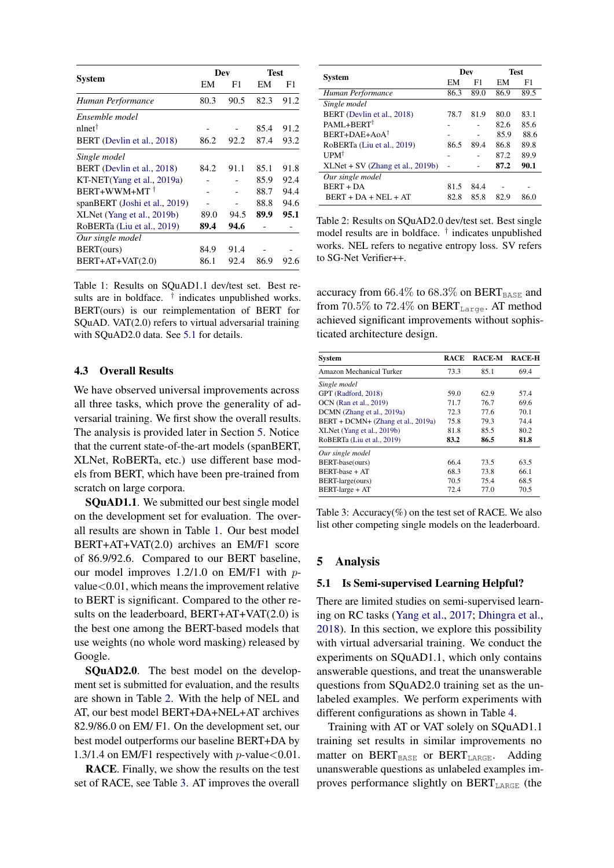<span id="page-5-2"></span>

|                               |      | Dev  | <b>Test</b> |      |
|-------------------------------|------|------|-------------|------|
| <b>System</b>                 | EМ   | F1   | EM          | F1   |
| Human Performance             | 80.3 | 90.5 | 82.3        | 91.2 |
| Ensemble model                |      |      |             |      |
| nlnet <sup>†</sup>            |      |      | 85.4        | 91.2 |
| BERT (Devlin et al., 2018)    | 86.2 | 92.2 | 87.4        | 93.2 |
| Single model                  |      |      |             |      |
| BERT (Devlin et al., 2018)    | 84.2 | 91.1 | 85.1        | 91.8 |
| KT-NET(Yang et al., 2019a)    |      |      | 85.9        | 92.4 |
| BERT+WWM+MT <sup>+</sup>      |      |      | 88.7        | 94.4 |
| spanBERT (Joshi et al., 2019) |      |      | 88.8        | 94.6 |
| XLNet (Yang et al., 2019b)    | 89.0 | 94.5 | 89.9        | 95.1 |
| RoBERTa (Liu et al., 2019)    | 89.4 | 94.6 |             |      |
| Our single model              |      |      |             |      |
| BERT(ours)                    | 84.9 | 91.4 |             |      |
| $BERT+AT+VAT(2.0)$            | 86.1 | 92.4 | 86.9        | 92.6 |

Table 1: Results on SQuAD1.1 dev/test set. Best results are in boldface. <sup>†</sup> indicates unpublished works. BERT(ours) is our reimplementation of BERT for SQuAD. VAT(2.0) refers to virtual adversarial training with SQuAD2.0 data. See [5.1](#page-5-0) for details.

## 4.3 Overall Results

We have observed universal improvements across all three tasks, which prove the generality of adversarial training. We first show the overall results. The analysis is provided later in Section [5.](#page-5-1) Notice that the current state-of-the-art models (spanBERT, XLNet, RoBERTa, etc.) use different base models from BERT, which have been pre-trained from scratch on large corpora.

**SOUAD1.1.** We submitted our best single model on the development set for evaluation. The overall results are shown in Table [1.](#page-5-2) Our best model BERT+AT+VAT(2.0) archives an EM/F1 score of 86.9/92.6. Compared to our BERT baseline, our model improves 1.2/1.0 on EM/F1 with p $value < 0.01$ , which means the improvement relative to BERT is significant. Compared to the other results on the leaderboard, BERT+AT+VAT(2.0) is the best one among the BERT-based models that use weights (no whole word masking) released by Google.

SQuAD2.0. The best model on the development set is submitted for evaluation, and the results are shown in Table [2.](#page-5-3) With the help of NEL and AT, our best model BERT+DA+NEL+AT archives 82.9/86.0 on EM/ F1. On the development set, our best model outperforms our baseline BERT+DA by 1.3/1.4 on EM/F1 respectively with  $p$ -value < 0.01.

RACE. Finally, we show the results on the test set of RACE, see Table [3.](#page-5-4) AT improves the overall

<span id="page-5-3"></span>

|                                    | Dev  |      | <b>Test</b> |      |
|------------------------------------|------|------|-------------|------|
| System                             | EM   | F1   | EM          | F1   |
| Human Performance                  | 86.3 | 89.0 | 86.9        | 89.5 |
| Single model                       |      |      |             |      |
| BERT (Devlin et al., 2018)         | 78.7 | 81.9 | 80.0        | 83.1 |
| PAML+BERT <sup>†</sup>             |      |      | 82.6        | 85.6 |
| $BERT+DAE+AoA^{\dagger}$           |      |      | 85.9        | 88.6 |
| RoBERTa (Liu et al., 2019)         | 86.5 | 89.4 | 86.8        | 89.8 |
| <b>UPM<sup>†</sup></b>             |      |      | 87.2        | 89.9 |
| $XLNet + SV (Zhang et al., 2019b)$ |      |      | 87.2        | 90.1 |
| Our single model                   |      |      |             |      |
| <b>BERT + DA</b>                   | 81.5 | 84.4 |             |      |
| $BERT + DA + NEL + AT$             | 82.8 | 85.8 | 82.9        | 86.0 |

Table 2: Results on SQuAD2.0 dev/test set. Best single model results are in boldface. † indicates unpublished works. NEL refers to negative entropy loss. SV refers to SG-Net Verifier++.

accuracy from  $66.4\%$  to  $68.3\%$  on BERT $_{\text{BASE}}$  and from 70.5% to 72.4% on  $BERT_{\text{Large}}$ . AT method achieved significant improvements without sophisticated architecture design.

<span id="page-5-4"></span>

| <b>System</b>                      | RACE | <b>RACE-M</b> | <b>RACE-H</b> |
|------------------------------------|------|---------------|---------------|
| Amazon Mechanical Turker           | 73.3 | 85.1          | 69.4          |
| Single model                       |      |               |               |
| GPT (Radford, 2018)                | 59.0 | 62.9          | 57.4          |
| OCN (Ran et al., 2019)             | 71.7 | 76.7          | 69.6          |
| DCMN (Zhang et al., 2019a)         | 72.3 | 77.6          | 70.1          |
| BERT + DCMN+ (Zhang et al., 2019a) | 75.8 | 79.3          | 74.4          |
| XLNet (Yang et al., 2019b)         | 81.8 | 85.5          | 80.2          |
| RoBERTa (Liu et al., 2019)         | 83.2 | 86.5          | 81.8          |
| Our single model                   |      |               |               |
| BERT-base(ours)                    | 664  | 73.5          | 63.5          |
| <b>BERT-base + AT</b>              | 68.3 | 73.8          | 66.1          |
| BERT-large(ours)                   | 70.5 | 75.4          | 68.5          |
| BERT-large + AT                    | 72.4 | 77.0          | 70.5          |

Table 3: Accuracy $(\%)$  on the test set of RACE. We also list other competing single models on the leaderboard.

## <span id="page-5-1"></span>5 Analysis

#### <span id="page-5-0"></span>5.1 Is Semi-supervised Learning Helpful?

There are limited studies on semi-supervised learning on RC tasks [\(Yang et al.,](#page-9-18) [2017;](#page-9-18) [Dhingra et al.,](#page-8-17) [2018\)](#page-8-17). In this section, we explore this possibility with virtual adversarial training. We conduct the experiments on SQuAD1.1, which only contains answerable questions, and treat the unanswerable questions from SQuAD2.0 training set as the unlabeled examples. We perform experiments with different configurations as shown in Table [4.](#page-6-1)

Training with AT or VAT solely on SQuAD1.1 training set results in similar improvements no matter on  $BERT_{BASE}$  or  $BERT_{LARGE}$ . Adding unanswerable questions as unlabeled examples improves performance slightly on  $BERT_{LARGE}$  (the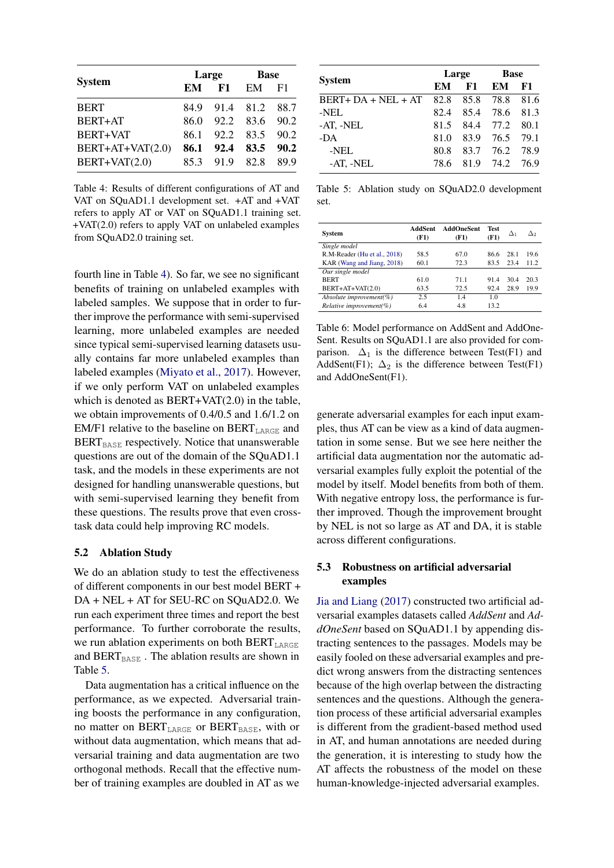<span id="page-6-1"></span>

|                    |      | Large     |                     | <b>Base</b> |  |
|--------------------|------|-----------|---------------------|-------------|--|
| <b>System</b>      | EM   | F1        | EM                  | F1          |  |
| <b>BERT</b>        |      |           | 84.9 91.4 81.2 88.7 |             |  |
| BERT+AT            | 86.0 |           | 92.2 83.6           | 90.2        |  |
| <b>BERT+VAT</b>    | 86 1 |           | 92.2 83.5           | 90.2        |  |
| $BERT+AT+VAT(2.0)$ | 86.1 | 92.4      | 83.5                | 90.2        |  |
| BERT+VAT(2.0)      | 85.3 | 91.9 82.8 |                     | 89.9        |  |

Table 4: Results of different configurations of AT and VAT on SQuAD1.1 development set. +AT and +VAT refers to apply AT or VAT on SQuAD1.1 training set. +VAT(2.0) refers to apply VAT on unlabeled examples from SQuAD2.0 training set.

fourth line in Table [4\)](#page-6-1). So far, we see no significant benefits of training on unlabeled examples with labeled samples. We suppose that in order to further improve the performance with semi-supervised learning, more unlabeled examples are needed since typical semi-supervised learning datasets usually contains far more unlabeled examples than labeled examples [\(Miyato et al.,](#page-8-1) [2017\)](#page-8-1). However, if we only perform VAT on unlabeled examples which is denoted as BERT+VAT(2.0) in the table, we obtain improvements of 0.4/0.5 and 1.6/1.2 on EM/F1 relative to the baseline on  $BERT_{LARGE}$  and  $BERT<sub>BASE</sub>$  respectively. Notice that unanswerable questions are out of the domain of the SQuAD1.1 task, and the models in these experiments are not designed for handling unanswerable questions, but with semi-supervised learning they benefit from these questions. The results prove that even crosstask data could help improving RC models.

## <span id="page-6-0"></span>5.2 Ablation Study

We do an ablation study to test the effectiveness of different components in our best model BERT + DA + NEL + AT for SEU-RC on SQuAD2.0. We run each experiment three times and report the best performance. To further corroborate the results, we run ablation experiments on both  $BERT_{LARGE}$ and  $BERT_{BASE}$ . The ablation results are shown in Table [5.](#page-6-2)

Data augmentation has a critical influence on the performance, as we expected. Adversarial training boosts the performance in any configuration, no matter on  $BERT_{LARGE}$  or  $BERT_{BASE}$ , with or without data augmentation, which means that adversarial training and data augmentation are two orthogonal methods. Recall that the effective number of training examples are doubled in AT as we

<span id="page-6-2"></span>

|                      | Large |      | <b>Base</b> |      |
|----------------------|-------|------|-------------|------|
| <b>System</b>        | EМ    | F1   | EM          | F1   |
| $BERT+DA + NEL + AT$ | 82.8  | 85.8 | 78.8        | 81.6 |
| -NEL                 | 82.4  | 85.4 | 78.6        | 81.3 |
| -AT, -NEL            | 81.5  | 84.4 | 77.2        | 80.1 |
| -DA                  | 81.0  | 83.9 | 76.5        | 79.1 |
| -NEL                 | 80.8  | 83.7 | 76.2 78.9   |      |
| $-AT$ , $-NEL$       | 78.6  | 81.9 | 74.2 76.9   |      |

Table 5: Ablation study on SQuAD2.0 development set.

<span id="page-6-3"></span>

| System                       | AddSent<br>(F1) | <b>AddOneSent</b><br>(F1) | <b>Test</b><br>(F1) | Δ1   | Δэ   |
|------------------------------|-----------------|---------------------------|---------------------|------|------|
| Single model                 |                 |                           |                     |      |      |
| R.M-Reader (Hu et al., 2018) | 58.5            | 67.0                      | 86.6                | 28.1 | 19.6 |
| KAR (Wang and Jiang, 2018)   | 60.1            | 72.3                      | 83.5                | 23.4 | 11.2 |
| Our single model             |                 |                           |                     |      |      |
| <b>BERT</b>                  | 61.0            | 71.1                      | 91.4                | 30.4 | 20.3 |
| $BERT+AT+VAT(2.0)$           | 63.5            | 72.5                      | 92.4                | 28.9 | 19.9 |
| Absolute improvement(%)      | 2.5             | 1.4                       | 1.0                 |      |      |
| $Relative\ improvement(\%)$  | 6.4             | 4.8                       | 13.2                |      |      |

Table 6: Model performance on AddSent and AddOne-Sent. Results on SQuAD1.1 are also provided for comparison.  $\Delta_1$  is the difference between Test(F1) and AddSent(F1);  $\Delta_2$  is the difference between Test(F1) and AddOneSent(F1).

generate adversarial examples for each input examples, thus AT can be view as a kind of data augmentation in some sense. But we see here neither the artificial data augmentation nor the automatic adversarial examples fully exploit the potential of the model by itself. Model benefits from both of them. With negative entropy loss, the performance is further improved. Though the improvement brought by NEL is not so large as AT and DA, it is stable across different configurations.

## 5.3 Robustness on artificial adversarial examples

[Jia and Liang](#page-8-7) [\(2017\)](#page-8-7) constructed two artificial adversarial examples datasets called *AddSent* and *AddOneSent* based on SQuAD1.1 by appending distracting sentences to the passages. Models may be easily fooled on these adversarial examples and predict wrong answers from the distracting sentences because of the high overlap between the distracting sentences and the questions. Although the generation process of these artificial adversarial examples is different from the gradient-based method used in AT, and human annotations are needed during the generation, it is interesting to study how the AT affects the robustness of the model on these human-knowledge-injected adversarial examples.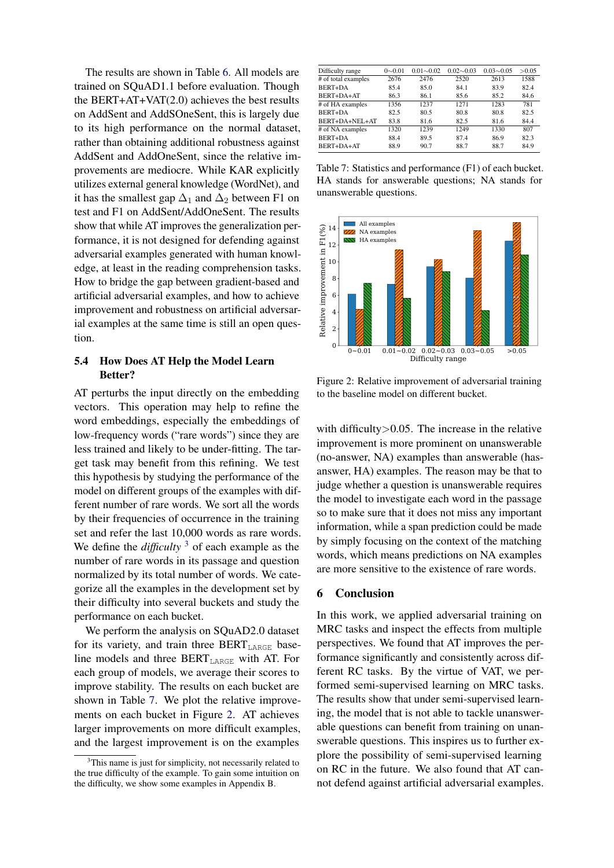The results are shown in Table [6.](#page-6-3) All models are trained on SQuAD1.1 before evaluation. Though the BERT+AT+VAT(2.0) achieves the best results on AddSent and AddSOneSent, this is largely due to its high performance on the normal dataset, rather than obtaining additional robustness against AddSent and AddOneSent, since the relative improvements are mediocre. While KAR explicitly utilizes external general knowledge (WordNet), and it has the smallest gap  $\Delta_1$  and  $\Delta_2$  between F1 on test and F1 on AddSent/AddOneSent. The results show that while AT improves the generalization performance, it is not designed for defending against adversarial examples generated with human knowledge, at least in the reading comprehension tasks. How to bridge the gap between gradient-based and artificial adversarial examples, and how to achieve improvement and robustness on artificial adversarial examples at the same time is still an open question.

## 5.4 How Does AT Help the Model Learn Better?

AT perturbs the input directly on the embedding vectors. This operation may help to refine the word embeddings, especially the embeddings of low-frequency words ("rare words") since they are less trained and likely to be under-fitting. The target task may benefit from this refining. We test this hypothesis by studying the performance of the model on different groups of the examples with different number of rare words. We sort all the words by their frequencies of occurrence in the training set and refer the last 10,000 words as rare words. We define the *difficulty* <sup>[3](#page-7-0)</sup> of each example as the number of rare words in its passage and question normalized by its total number of words. We categorize all the examples in the development set by their difficulty into several buckets and study the performance on each bucket.

We perform the analysis on SQuAD2.0 dataset for its variety, and train three  $BERT_{LARGE}$  baseline models and three BERT<sub>LARGE</sub> with AT. For each group of models, we average their scores to improve stability. The results on each bucket are shown in Table [7.](#page-7-1) We plot the relative improvements on each bucket in Figure [2.](#page-7-2) AT achieves larger improvements on more difficult examples, and the largest improvement is on the examples

<span id="page-7-1"></span>

| Difficulty range    | $0 \sim 0.01$ | $0.01 - 0.02$ | $0.02 \sim 0.03$ | $0.03 \sim 0.05$ | >0.05 |
|---------------------|---------------|---------------|------------------|------------------|-------|
| # of total examples | 2676          | 2476          | 2520             | 2613             | 1588  |
| BERT+DA             | 85.4          | 85.0          | 84.1             | 83.9             | 82.4  |
| BERT+DA+AT          | 86.3          | 86.1          | 85.6             | 85.2             | 84.6  |
| # of HA examples    | 1356          | 1237          | 1271             | 1283             | 781   |
| BERT+DA             | 82.5          | 80.5          | 80.8             | 80.8             | 82.5  |
| $BERT+DA+NEI+AT$    | 83.8          | 81.6          | 82.5             | 81.6             | 84.4  |
| # of NA examples    | 1320          | 1239          | 1249             | 1330             | 807   |
| BERT+DA             | 88.4          | 89.5          | 87.4             | 86.9             | 82.3  |
| BERT+DA+AT          | 88.9          | 90.7          | 88.7             | 88.7             | 84.9  |

Table 7: Statistics and performance (F1) of each bucket. HA stands for answerable questions; NA stands for unanswerable questions.

<span id="page-7-2"></span>

Figure 2: Relative improvement of adversarial training to the baseline model on different bucket.

with difficulty > 0.05. The increase in the relative improvement is more prominent on unanswerable (no-answer, NA) examples than answerable (hasanswer, HA) examples. The reason may be that to judge whether a question is unanswerable requires the model to investigate each word in the passage so to make sure that it does not miss any important information, while a span prediction could be made by simply focusing on the context of the matching words, which means predictions on NA examples are more sensitive to the existence of rare words.

## 6 Conclusion

In this work, we applied adversarial training on MRC tasks and inspect the effects from multiple perspectives. We found that AT improves the performance significantly and consistently across different RC tasks. By the virtue of VAT, we performed semi-supervised learning on MRC tasks. The results show that under semi-supervised learning, the model that is not able to tackle unanswerable questions can benefit from training on unanswerable questions. This inspires us to further explore the possibility of semi-supervised learning on RC in the future. We also found that AT cannot defend against artificial adversarial examples.

<span id="page-7-0"></span><sup>&</sup>lt;sup>3</sup>This name is just for simplicity, not necessarily related to the true difficulty of the example. To gain some intuition on the difficulty, we show some examples in Appendix B.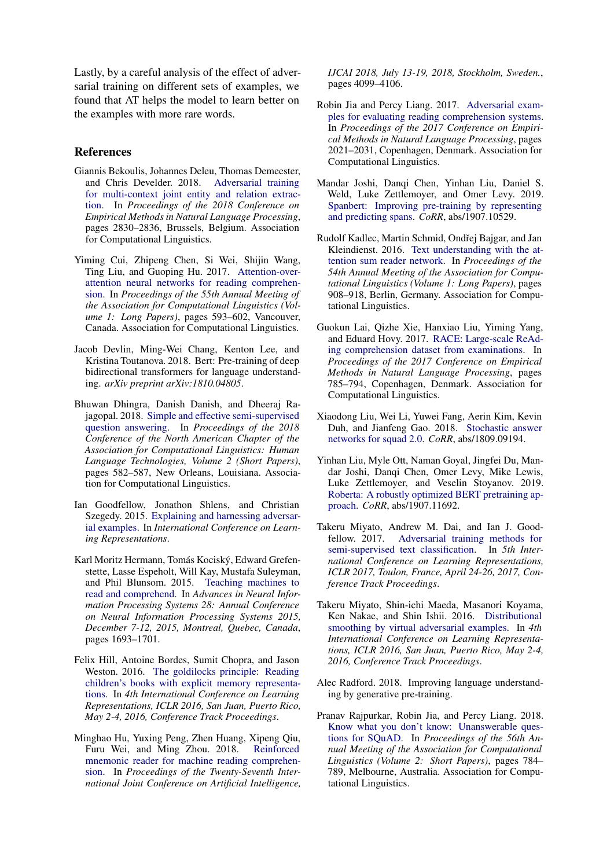Lastly, by a careful analysis of the effect of adversarial training on different sets of examples, we found that AT helps the model to learn better on the examples with more rare words.

## References

- <span id="page-8-3"></span>Giannis Bekoulis, Johannes Deleu, Thomas Demeester, and Chris Develder. 2018. [Adversarial training](https://www.aclweb.org/anthology/D18-1307) [for multi-context joint entity and relation extrac](https://www.aclweb.org/anthology/D18-1307)[tion.](https://www.aclweb.org/anthology/D18-1307) In *Proceedings of the 2018 Conference on Empirical Methods in Natural Language Processing*, pages 2830–2836, Brussels, Belgium. Association for Computational Linguistics.
- <span id="page-8-5"></span>Yiming Cui, Zhipeng Chen, Si Wei, Shijin Wang, Ting Liu, and Guoping Hu. 2017. [Attention-over](https://doi.org/10.18653/v1/P17-1055)[attention neural networks for reading comprehen](https://doi.org/10.18653/v1/P17-1055)[sion.](https://doi.org/10.18653/v1/P17-1055) In *Proceedings of the 55th Annual Meeting of the Association for Computational Linguistics (Volume 1: Long Papers)*, pages 593–602, Vancouver, Canada. Association for Computational Linguistics.
- <span id="page-8-6"></span>Jacob Devlin, Ming-Wei Chang, Kenton Lee, and Kristina Toutanova. 2018. Bert: Pre-training of deep bidirectional transformers for language understanding. *arXiv preprint arXiv:1810.04805*.
- <span id="page-8-17"></span>Bhuwan Dhingra, Danish Danish, and Dheeraj Rajagopal. 2018. [Simple and effective semi-supervised](https://doi.org/10.18653/v1/N18-2092) [question answering.](https://doi.org/10.18653/v1/N18-2092) In *Proceedings of the 2018 Conference of the North American Chapter of the Association for Computational Linguistics: Human Language Technologies, Volume 2 (Short Papers)*, pages 582–587, New Orleans, Louisiana. Association for Computational Linguistics.
- <span id="page-8-0"></span>Ian Goodfellow, Jonathon Shlens, and Christian Szegedy. 2015. [Explaining and harnessing adversar](http://arxiv.org/abs/1412.6572)[ial examples.](http://arxiv.org/abs/1412.6572) In *International Conference on Learning Representations*.
- <span id="page-8-8"></span>Karl Moritz Hermann, Tomás Kociský, Edward Grefenstette, Lasse Espeholt, Will Kay, Mustafa Suleyman, and Phil Blunsom. 2015. [Teaching machines to](http://papers.nips.cc/paper/5945-teaching-machines-to-read-and-comprehend) [read and comprehend.](http://papers.nips.cc/paper/5945-teaching-machines-to-read-and-comprehend) In *Advances in Neural Information Processing Systems 28: Annual Conference on Neural Information Processing Systems 2015, December 7-12, 2015, Montreal, Quebec, Canada*, pages 1693–1701.
- <span id="page-8-9"></span>Felix Hill, Antoine Bordes, Sumit Chopra, and Jason Weston. 2016. [The goldilocks principle: Reading](http://arxiv.org/abs/1511.02301) [children's books with explicit memory representa](http://arxiv.org/abs/1511.02301)[tions.](http://arxiv.org/abs/1511.02301) In *4th International Conference on Learning Representations, ICLR 2016, San Juan, Puerto Rico, May 2-4, 2016, Conference Track Proceedings*.
- <span id="page-8-13"></span>Minghao Hu, Yuxing Peng, Zhen Huang, Xipeng Qiu, Furu Wei, and Ming Zhou. 2018. [Reinforced](https://doi.org/10.24963/ijcai.2018/570) [mnemonic reader for machine reading comprehen](https://doi.org/10.24963/ijcai.2018/570)[sion.](https://doi.org/10.24963/ijcai.2018/570) In *Proceedings of the Twenty-Seventh International Joint Conference on Artificial Intelligence,*

*IJCAI 2018, July 13-19, 2018, Stockholm, Sweden.*, pages 4099–4106.

- <span id="page-8-7"></span>Robin Jia and Percy Liang. 2017. [Adversarial exam](https://doi.org/10.18653/v1/D17-1215)[ples for evaluating reading comprehension systems.](https://doi.org/10.18653/v1/D17-1215) In *Proceedings of the 2017 Conference on Empirical Methods in Natural Language Processing*, pages 2021–2031, Copenhagen, Denmark. Association for Computational Linguistics.
- <span id="page-8-15"></span>Mandar Joshi, Danqi Chen, Yinhan Liu, Daniel S. Weld, Luke Zettlemoyer, and Omer Levy. 2019. [Spanbert: Improving pre-training by representing](http://arxiv.org/abs/1907.10529) [and predicting spans.](http://arxiv.org/abs/1907.10529) *CoRR*, abs/1907.10529.
- <span id="page-8-4"></span>Rudolf Kadlec, Martin Schmid, Ondřej Bajgar, and Jan Kleindienst. 2016. [Text understanding with the at](https://doi.org/10.18653/v1/P16-1086)[tention sum reader network.](https://doi.org/10.18653/v1/P16-1086) In *Proceedings of the 54th Annual Meeting of the Association for Computational Linguistics (Volume 1: Long Papers)*, pages 908–918, Berlin, Germany. Association for Computational Linguistics.
- <span id="page-8-11"></span>Guokun Lai, Qizhe Xie, Hanxiao Liu, Yiming Yang, and Eduard Hovy. 2017. [RACE: Large-scale ReAd](https://doi.org/10.18653/v1/D17-1082)[ing comprehension dataset from examinations.](https://doi.org/10.18653/v1/D17-1082) In *Proceedings of the 2017 Conference on Empirical Methods in Natural Language Processing*, pages 785–794, Copenhagen, Denmark. Association for Computational Linguistics.
- <span id="page-8-14"></span>Xiaodong Liu, Wei Li, Yuwei Fang, Aerin Kim, Kevin Duh, and Jianfeng Gao. 2018. [Stochastic answer](http://arxiv.org/abs/1809.09194) [networks for squad 2.0.](http://arxiv.org/abs/1809.09194) *CoRR*, abs/1809.09194.
- <span id="page-8-16"></span>Yinhan Liu, Myle Ott, Naman Goyal, Jingfei Du, Mandar Joshi, Danqi Chen, Omer Levy, Mike Lewis, Luke Zettlemoyer, and Veselin Stoyanov. 2019. [Roberta: A robustly optimized BERT pretraining ap](http://arxiv.org/abs/1907.11692)[proach.](http://arxiv.org/abs/1907.11692) *CoRR*, abs/1907.11692.
- <span id="page-8-1"></span>Takeru Miyato, Andrew M. Dai, and Ian J. Goodfellow. 2017. [Adversarial training methods for](https://openreview.net/forum?id=r1X3g2_xl) [semi-supervised text classification.](https://openreview.net/forum?id=r1X3g2_xl) In *5th International Conference on Learning Representations, ICLR 2017, Toulon, France, April 24-26, 2017, Conference Track Proceedings*.
- <span id="page-8-2"></span>Takeru Miyato, Shin-ichi Maeda, Masanori Koyama, Ken Nakae, and Shin Ishii. 2016. [Distributional](http://arxiv.org/abs/1507.00677) [smoothing by virtual adversarial examples.](http://arxiv.org/abs/1507.00677) In *4th International Conference on Learning Representations, ICLR 2016, San Juan, Puerto Rico, May 2-4, 2016, Conference Track Proceedings*.
- <span id="page-8-12"></span>Alec Radford. 2018. Improving language understanding by generative pre-training.
- <span id="page-8-10"></span>Pranav Rajpurkar, Robin Jia, and Percy Liang. 2018. [Know what you don't know: Unanswerable ques](https://www.aclweb.org/anthology/P18-2124)[tions for SQuAD.](https://www.aclweb.org/anthology/P18-2124) In *Proceedings of the 56th Annual Meeting of the Association for Computational Linguistics (Volume 2: Short Papers)*, pages 784– 789, Melbourne, Australia. Association for Computational Linguistics.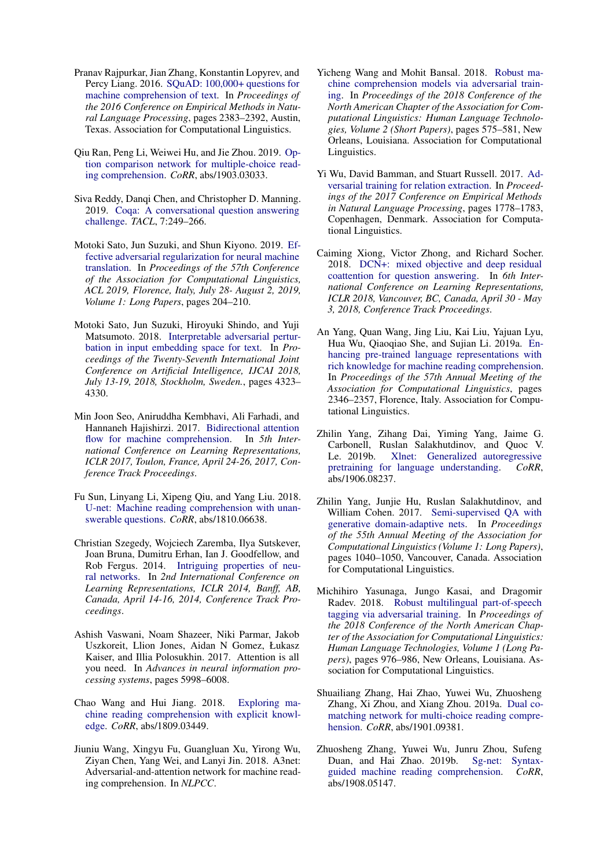- <span id="page-9-5"></span>Pranav Rajpurkar, Jian Zhang, Konstantin Lopyrev, and Percy Liang. 2016. [SQuAD: 100,000+ questions for](https://doi.org/10.18653/v1/D16-1264) [machine comprehension of text.](https://doi.org/10.18653/v1/D16-1264) In *Proceedings of the 2016 Conference on Empirical Methods in Natural Language Processing*, pages 2383–2392, Austin, Texas. Association for Computational Linguistics.
- <span id="page-9-16"></span>Qiu Ran, Peng Li, Weiwei Hu, and Jie Zhou. 2019. [Op](http://arxiv.org/abs/1903.03033)[tion comparison network for multiple-choice read](http://arxiv.org/abs/1903.03033)[ing comprehension.](http://arxiv.org/abs/1903.03033) *CoRR*, abs/1903.03033.
- <span id="page-9-6"></span>Siva Reddy, Danqi Chen, and Christopher D. Manning. 2019. [Coqa: A conversational question answering](https://transacl.org/ojs/index.php/tacl/article/view/1572) [challenge.](https://transacl.org/ojs/index.php/tacl/article/view/1572) *TACL*, 7:249–266.
- <span id="page-9-8"></span>Motoki Sato, Jun Suzuki, and Shun Kiyono. 2019. [Ef](https://www.aclweb.org/anthology/P19-1020/)[fective adversarial regularization for neural machine](https://www.aclweb.org/anthology/P19-1020/) [translation.](https://www.aclweb.org/anthology/P19-1020/) In *Proceedings of the 57th Conference of the Association for Computational Linguistics, ACL 2019, Florence, Italy, July 28- August 2, 2019, Volume 1: Long Papers*, pages 204–210.
- <span id="page-9-10"></span>Motoki Sato, Jun Suzuki, Hiroyuki Shindo, and Yuji Matsumoto. 2018. [Interpretable adversarial pertur](https://doi.org/10.24963/ijcai.2018/601)[bation in input embedding space for text.](https://doi.org/10.24963/ijcai.2018/601) In *Proceedings of the Twenty-Seventh International Joint Conference on Artificial Intelligence, IJCAI 2018, July 13-19, 2018, Stockholm, Sweden.*, pages 4323– 4330.
- <span id="page-9-3"></span>Min Joon Seo, Aniruddha Kembhavi, Ali Farhadi, and Hannaneh Hajishirzi. 2017. [Bidirectional attention](https://openreview.net/forum?id=HJ0UKP9ge) [flow for machine comprehension.](https://openreview.net/forum?id=HJ0UKP9ge) In *5th International Conference on Learning Representations, ICLR 2017, Toulon, France, April 24-26, 2017, Conference Track Proceedings*.
- <span id="page-9-12"></span>Fu Sun, Linyang Li, Xipeng Qiu, and Yang Liu. 2018. [U-net: Machine reading comprehension with unan](http://arxiv.org/abs/1810.06638)[swerable questions.](http://arxiv.org/abs/1810.06638) *CoRR*, abs/1810.06638.
- <span id="page-9-0"></span>Christian Szegedy, Wojciech Zaremba, Ilya Sutskever, Joan Bruna, Dumitru Erhan, Ian J. Goodfellow, and Rob Fergus. 2014. [Intriguing properties of neu](http://arxiv.org/abs/1312.6199)[ral networks.](http://arxiv.org/abs/1312.6199) In *2nd International Conference on Learning Representations, ICLR 2014, Banff, AB, Canada, April 14-16, 2014, Conference Track Proceedings*.
- <span id="page-9-11"></span>Ashish Vaswani, Noam Shazeer, Niki Parmar, Jakob Uszkoreit, Llion Jones, Aidan N Gomez, Łukasz Kaiser, and Illia Polosukhin. 2017. Attention is all you need. In *Advances in neural information processing systems*, pages 5998–6008.
- <span id="page-9-19"></span>Chao Wang and Hui Jiang. 2018. [Exploring ma](http://arxiv.org/abs/1809.03449)[chine reading comprehension with explicit knowl](http://arxiv.org/abs/1809.03449)[edge.](http://arxiv.org/abs/1809.03449) *CoRR*, abs/1809.03449.
- <span id="page-9-9"></span>Jiuniu Wang, Xingyu Fu, Guangluan Xu, Yirong Wu, Ziyan Chen, Yang Wei, and Lanyi Jin. 2018. A3net: Adversarial-and-attention network for machine reading comprehension. In *NLPCC*.
- <span id="page-9-4"></span>Yicheng Wang and Mohit Bansal. 2018. [Robust ma](https://doi.org/10.18653/v1/N18-2091)[chine comprehension models via adversarial train](https://doi.org/10.18653/v1/N18-2091)[ing.](https://doi.org/10.18653/v1/N18-2091) In *Proceedings of the 2018 Conference of the North American Chapter of the Association for Computational Linguistics: Human Language Technologies, Volume 2 (Short Papers)*, pages 575–581, New Orleans, Louisiana. Association for Computational Linguistics.
- <span id="page-9-1"></span>Yi Wu, David Bamman, and Stuart Russell. 2017. [Ad](https://doi.org/10.18653/v1/D17-1187)[versarial training for relation extraction.](https://doi.org/10.18653/v1/D17-1187) In *Proceedings of the 2017 Conference on Empirical Methods in Natural Language Processing*, pages 1778–1783, Copenhagen, Denmark. Association for Computational Linguistics.
- <span id="page-9-7"></span>Caiming Xiong, Victor Zhong, and Richard Socher. 2018. [DCN+: mixed objective and deep residual](https://openreview.net/forum?id=H1meywxRW) [coattention for question answering.](https://openreview.net/forum?id=H1meywxRW) In *6th International Conference on Learning Representations, ICLR 2018, Vancouver, BC, Canada, April 30 - May 3, 2018, Conference Track Proceedings*.
- <span id="page-9-13"></span>An Yang, Quan Wang, Jing Liu, Kai Liu, Yajuan Lyu, Hua Wu, Qiaoqiao She, and Sujian Li. 2019a. [En](https://www.aclweb.org/anthology/P19-1226)[hancing pre-trained language representations with](https://www.aclweb.org/anthology/P19-1226) [rich knowledge for machine reading comprehension.](https://www.aclweb.org/anthology/P19-1226) In *Proceedings of the 57th Annual Meeting of the Association for Computational Linguistics*, pages 2346–2357, Florence, Italy. Association for Computational Linguistics.
- <span id="page-9-14"></span>Zhilin Yang, Zihang Dai, Yiming Yang, Jaime G. Carbonell, Ruslan Salakhutdinov, and Quoc V. Le. 2019b. [Xlnet: Generalized autoregressive](http://arxiv.org/abs/1906.08237) [pretraining for language understanding.](http://arxiv.org/abs/1906.08237) *CoRR*, abs/1906.08237.
- <span id="page-9-18"></span>Zhilin Yang, Junjie Hu, Ruslan Salakhutdinov, and William Cohen. 2017. [Semi-supervised QA with](https://doi.org/10.18653/v1/P17-1096) [generative domain-adaptive nets.](https://doi.org/10.18653/v1/P17-1096) In *Proceedings of the 55th Annual Meeting of the Association for Computational Linguistics (Volume 1: Long Papers)*, pages 1040–1050, Vancouver, Canada. Association for Computational Linguistics.
- <span id="page-9-2"></span>Michihiro Yasunaga, Jungo Kasai, and Dragomir Radev. 2018. [Robust multilingual part-of-speech](https://doi.org/10.18653/v1/N18-1089) [tagging via adversarial training.](https://doi.org/10.18653/v1/N18-1089) In *Proceedings of the 2018 Conference of the North American Chapter of the Association for Computational Linguistics: Human Language Technologies, Volume 1 (Long Papers)*, pages 976–986, New Orleans, Louisiana. Association for Computational Linguistics.
- <span id="page-9-17"></span>Shuailiang Zhang, Hai Zhao, Yuwei Wu, Zhuosheng Zhang, Xi Zhou, and Xiang Zhou. 2019a. [Dual co](http://arxiv.org/abs/1901.09381)[matching network for multi-choice reading compre](http://arxiv.org/abs/1901.09381)[hension.](http://arxiv.org/abs/1901.09381) *CoRR*, abs/1901.09381.
- <span id="page-9-15"></span>Zhuosheng Zhang, Yuwei Wu, Junru Zhou, Sufeng Duan, and Hai Zhao. 2019b. [guided machine reading comprehension.](http://arxiv.org/abs/1908.05147) *CoRR*, abs/1908.05147.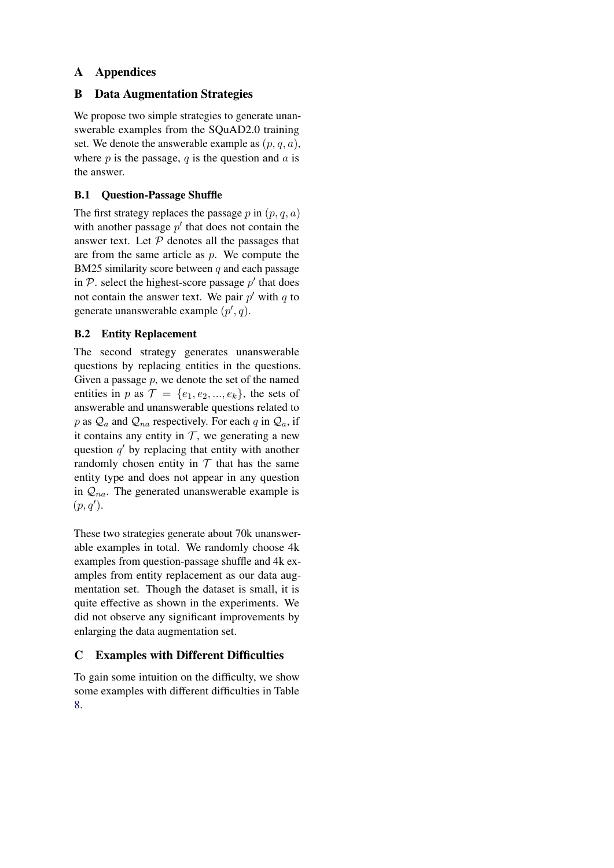# A Appendices

## B Data Augmentation Strategies

We propose two simple strategies to generate unanswerable examples from the SQuAD2.0 training set. We denote the answerable example as  $(p, q, a)$ , where  $p$  is the passage,  $q$  is the question and  $q$  is the answer.

## B.1 Question-Passage Shuffle

The first strategy replaces the passage p in  $(p, q, a)$ with another passage  $p'$  that does not contain the answer text. Let  $P$  denotes all the passages that are from the same article as  $p$ . We compute the BM25 similarity score between  $q$  and each passage in  $P$ . select the highest-score passage  $p'$  that does not contain the answer text. We pair  $p'$  with  $q$  to generate unanswerable example  $(p', q)$ .

# B.2 Entity Replacement

The second strategy generates unanswerable questions by replacing entities in the questions. Given a passage  $p$ , we denote the set of the named entities in p as  $\mathcal{T} = \{e_1, e_2, ..., e_k\}$ , the sets of answerable and unanswerable questions related to p as  $Q_a$  and  $Q_{na}$  respectively. For each q in  $Q_a$ , if it contains any entity in  $T$ , we generating a new question  $q'$  by replacing that entity with another randomly chosen entity in  $T$  that has the same entity type and does not appear in any question in  $Q_{na}$ . The generated unanswerable example is  $(p, q').$ 

These two strategies generate about 70k unanswerable examples in total. We randomly choose 4k examples from question-passage shuffle and 4k examples from entity replacement as our data augmentation set. Though the dataset is small, it is quite effective as shown in the experiments. We did not observe any significant improvements by enlarging the data augmentation set.

# C Examples with Different Difficulties

To gain some intuition on the difficulty, we show some examples with different difficulties in Table [8.](#page-11-0)